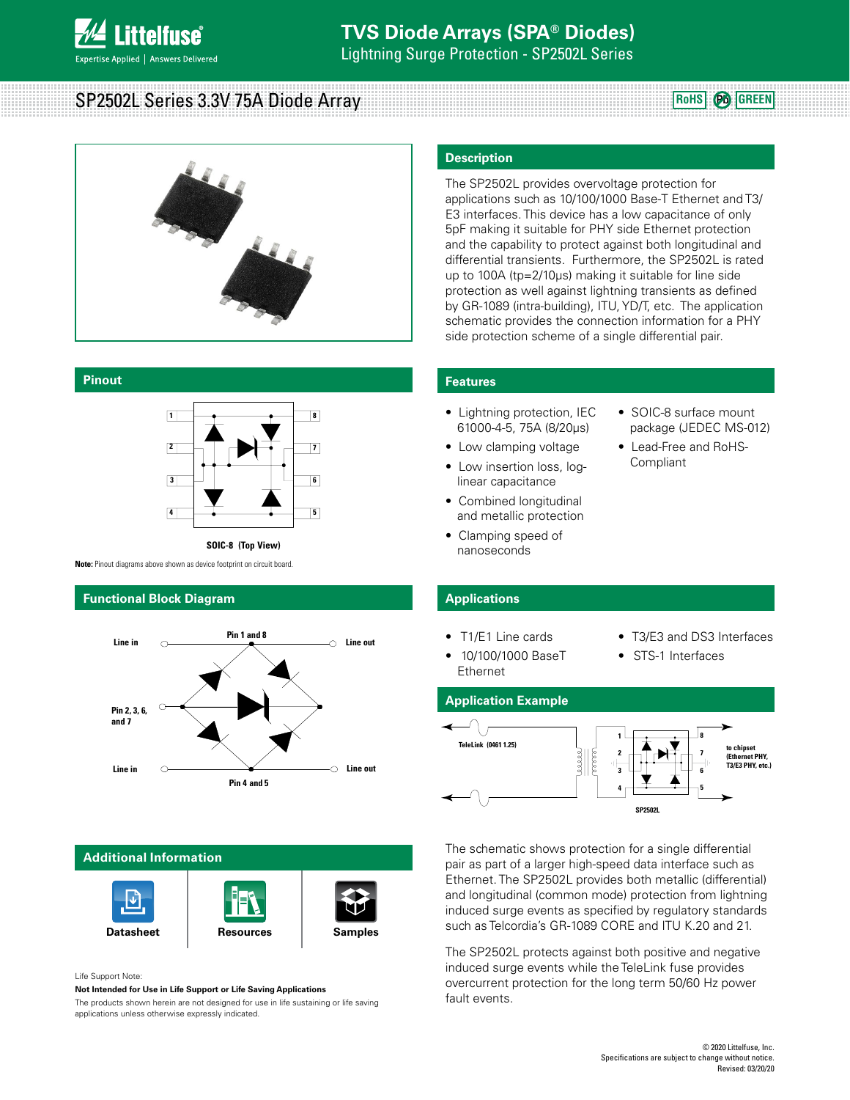

Lightning Surge Protection - SP2502L Series

# SP2502L Series 3.3V 75A Diode Array



#### **Pinout**



**SOIC-8 (Top View)**

**Note:** Pinout diagrams above shown as device footprint on circuit board.

### **Functional Block Diagram**



# **Additional Information**



Life Support Note:

**Not Intended for Use in Life Support or Life Saving Applications**

The products shown herein are not designed for use in life sustaining or life saving applications unless otherwise expressly indicated.

### **Description**

The SP2502L provides overvoltage protection for applications such as 10/100/1000 Base-T Ethernet and T3/ E3 interfaces. This device has a low capacitance of only 5pF making it suitable for PHY side Ethernet protection and the capability to protect against both longitudinal and differential transients. Furthermore, the SP2502L is rated up to 100A (tp=2/10µs) making it suitable for line side protection as well against lightning transients as defined by GR-1089 (intra-building), ITU, YD/T, etc. The application schematic provides the connection information for a PHY side protection scheme of a single differential pair.

#### **Features**

- Lightning protection, IEC 61000-4-5, 75A (8/20µs)
- Low clamping voltage
- Low insertion loss, loglinear capacitance
- Combined longitudinal and metallic protection
- Clamping speed of nanoseconds

### **Applications**

- T1/E1 Line cards
- 10/100/1000 BaseT Ethernet
- T3/E3 and DS3 Interfaces

• SOIC-8 surface mount package (JEDEC MS-012) • Lead-Free and RoHS-

**RoHS Pb GREEN**

**Compliant** 

• STS-1 Interfaces

# **Application Example**



The schematic shows protection for a single differential pair as part of a larger high-speed data interface such as Ethernet. The SP2502L provides both metallic (differential) and longitudinal (common mode) protection from lightning induced surge events as specified by regulatory standards such as Telcordia's GR-1089 CORE and ITU K.20 and 21.

The SP2502L protects against both positive and negative induced surge events while the TeleLink fuse provides overcurrent protection for the long term 50/60 Hz power fault events.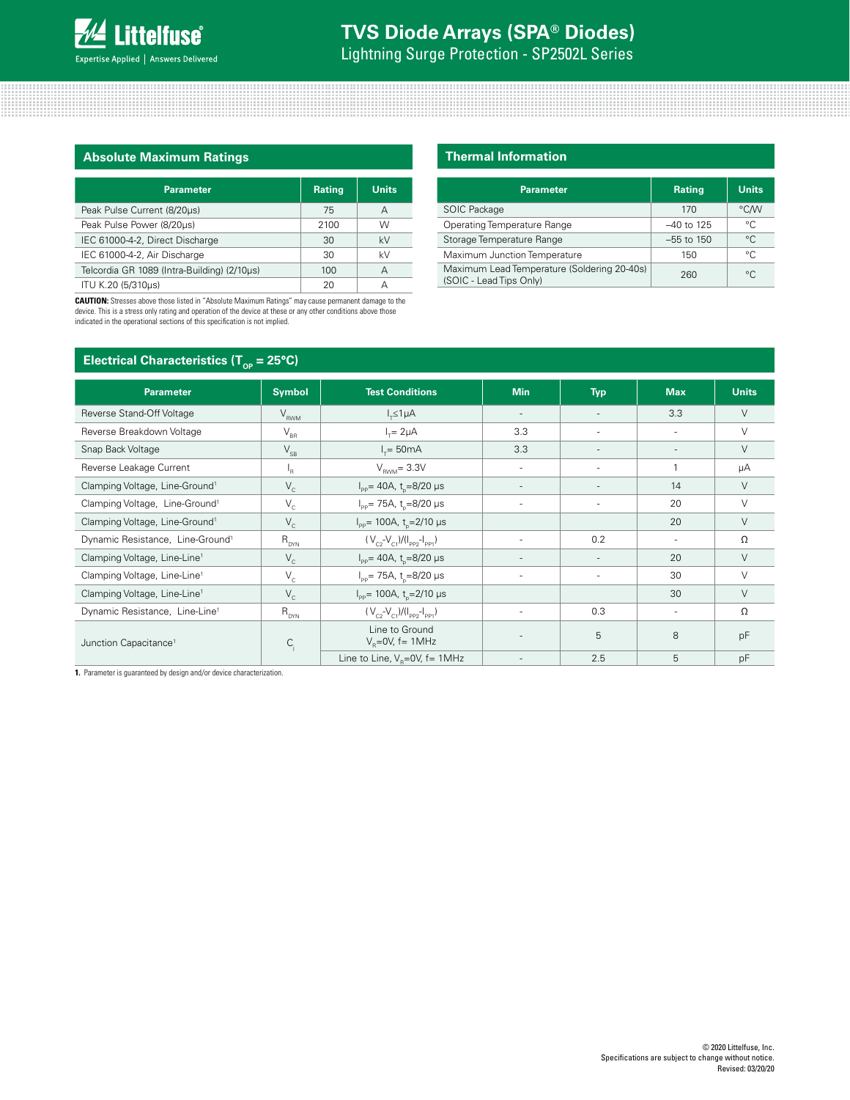Lightning Surge Protection - SP2502L Series

# **Absolute Maximum Ratings**

| <b>Parameter</b>                            | <b>Rating</b> | <b>Units</b> |
|---------------------------------------------|---------------|--------------|
| Peak Pulse Current (8/20us)                 | 75            | А            |
| Peak Pulse Power (8/20us)                   | 2100          | W            |
| IEC 61000-4-2, Direct Discharge             | 30            | kV           |
| IEC 61000-4-2, Air Discharge                | 30            | kV           |
| Telcordia GR 1089 (Intra-Building) (2/10us) | 100           | А            |
| ITU K.20 (5/310µs)                          | 20            | д            |

**CAUTION:** Stresses above those listed in "Absolute Maximum Ratings" may cause permanent damage to the device. This is a stress only rating and operation of the device at these or any other conditions above those indicated in the operational sections of this specification is not implied.

# **Thermal Information**

| <b>Parameter</b>                                                       | <b>Rating</b> | <b>Units</b> |
|------------------------------------------------------------------------|---------------|--------------|
| SOIC Package                                                           | 170           | °C/W         |
| <b>Operating Temperature Range</b>                                     | $-40$ to 125  | °C           |
| Storage Temperature Range                                              | $-55$ to 150  | $^{\circ}C$  |
| Maximum Junction Temperature                                           | 150           | °C           |
| Maximum Lead Temperature (Soldering 20-40s)<br>(SOIC - Lead Tips Only) | 260           | $^{\circ}C$  |

| Electrical Characteristics ( $T_{\text{op}}$ = 25°C) |                            |                                                 |                          |            |                          |              |  |
|------------------------------------------------------|----------------------------|-------------------------------------------------|--------------------------|------------|--------------------------|--------------|--|
| <b>Parameter</b>                                     | <b>Symbol</b>              | <b>Test Conditions</b>                          | <b>Min</b>               | <b>Typ</b> | <b>Max</b>               | <b>Units</b> |  |
| Reverse Stand-Off Voltage                            | $V_{RWM}$                  | $I_{\tau} \leq 1 \mu A$                         | $\overline{\phantom{a}}$ |            | 3.3                      | $\vee$       |  |
| Reverse Breakdown Voltage                            | $\mathsf{V}_{\texttt{BR}}$ | $I_r = 2\mu A$                                  | 3.3                      |            | $\overline{\phantom{a}}$ | $\vee$       |  |
| Snap Back Voltage                                    | $\mathsf{V}_{\mathsf{SB}}$ | $I_{\tau} = 50 \text{mA}$                       | 3.3                      |            | $\overline{\phantom{a}}$ | $\vee$       |  |
| Reverse Leakage Current                              | ١ <sub>R</sub>             | $V_{\text{RMM}}$ = 3.3V                         | ٠                        |            | 1                        | μA           |  |
| Clamping Voltage, Line-Ground <sup>1</sup>           | $V_c$                      | $I_{\text{pp}}$ = 40A, t <sub>n</sub> =8/20 µs  | $\overline{\phantom{a}}$ |            | 14                       | $\vee$       |  |
| Clamping Voltage, Line-Ground <sup>1</sup>           | $V_c$                      | $I_{\text{pp}}$ = 75A, t <sub>n</sub> =8/20 µs  | $\sim$                   |            | 20                       | $\vee$       |  |
| Clamping Voltage, Line-Ground <sup>1</sup>           | $V_c$                      | $I_{\text{pp}}$ = 100A, t <sub>n</sub> =2/10 µs |                          |            | 20                       | $\vee$       |  |
| Dynamic Resistance, Line-Ground <sup>1</sup>         | $R_{DYN}$                  | $(V_{c2} - V_{c1})/(I_{pp2} - I_{pp1})$         | ٠                        | 0.2        | $\overline{\phantom{a}}$ | Ω            |  |
| Clamping Voltage, Line-Line <sup>1</sup>             | $V_c$                      | $I_{\text{pp}}$ = 40A, t <sub>n</sub> =8/20 µs  | $\overline{\phantom{a}}$ |            | 20                       | $\vee$       |  |
| Clamping Voltage, Line-Line <sup>1</sup>             | $V_c$                      | $I_{\text{pp}}$ = 75A, t <sub>n</sub> =8/20 µs  | ٠                        |            | 30                       | $\vee$       |  |
| Clamping Voltage, Line-Line <sup>1</sup>             | $V_c$                      | $I_{\text{pp}}$ = 100A, t <sub>n</sub> =2/10 µs |                          |            | 30                       | $\vee$       |  |
| Dynamic Resistance, Line-Line <sup>1</sup>           | $R_{_{\rm DYN}}$           | $(V_{c2} - V_{c1})/(I_{PP2} - I_{PP1})$         |                          | 0.3        | $\overline{\phantom{a}}$ | Ω            |  |
| Junction Capacitance <sup>1</sup>                    | $C_i$                      | Line to Ground<br>$V_p = 0V$ , f = 1MHz         |                          | 5          | 8                        | pF           |  |
|                                                      |                            | Line to Line, $V_p = 0V$ , f= 1MHz              | $\overline{\phantom{a}}$ | 2.5        | 5                        | pF           |  |

**1.** Parameter is guaranteed by design and/or device characterization.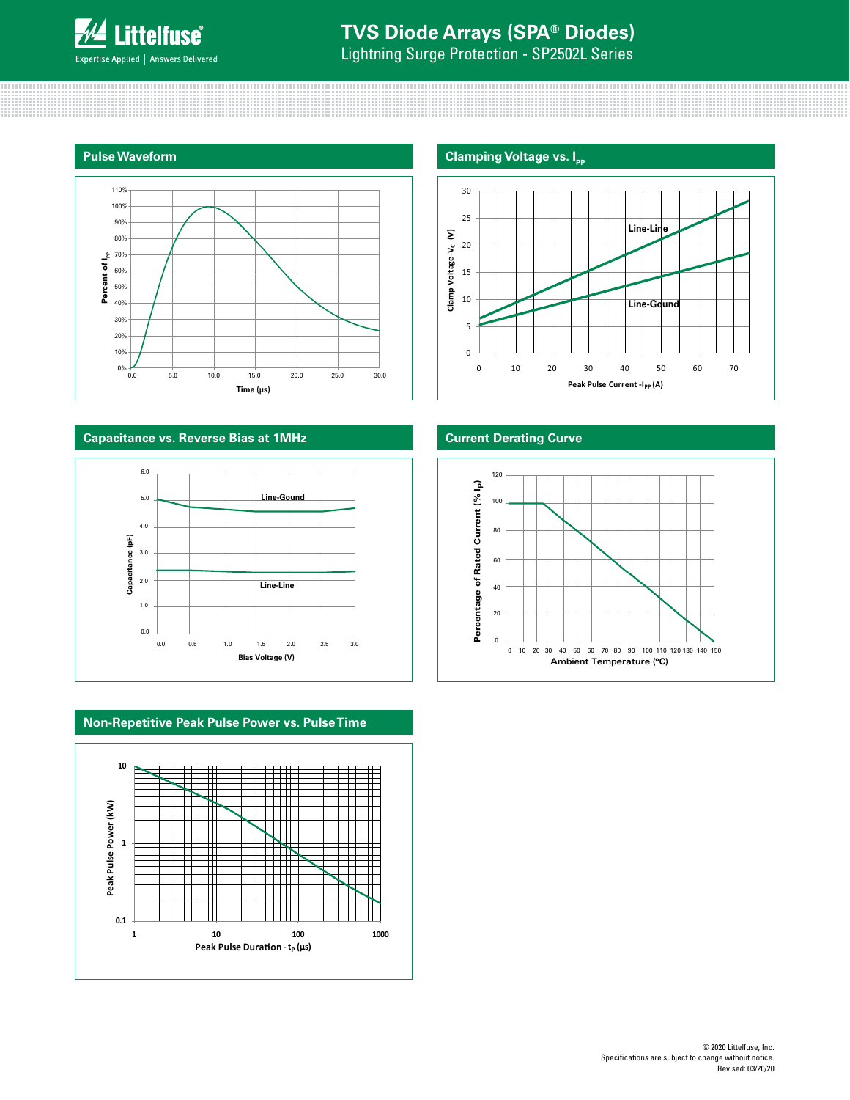

Lightning Surge Protection - SP2502L Series

## **Pulse Waveform**



# **Capacitance vs. Reverse Bias at 1MHz**



# **Non-Repetitive Peak Pulse Power vs. Pulse Time**





# Clamp Voltage-V<sub>c</sub> (V) **Clamp Voltage-VC (V)** 15 10 **Line-Gound** 5 0 0 10 20 30 40 50 60 70 **Peak Pulse Current -I<sub>PP</sub> (A)**

# **Current Derating Curve**

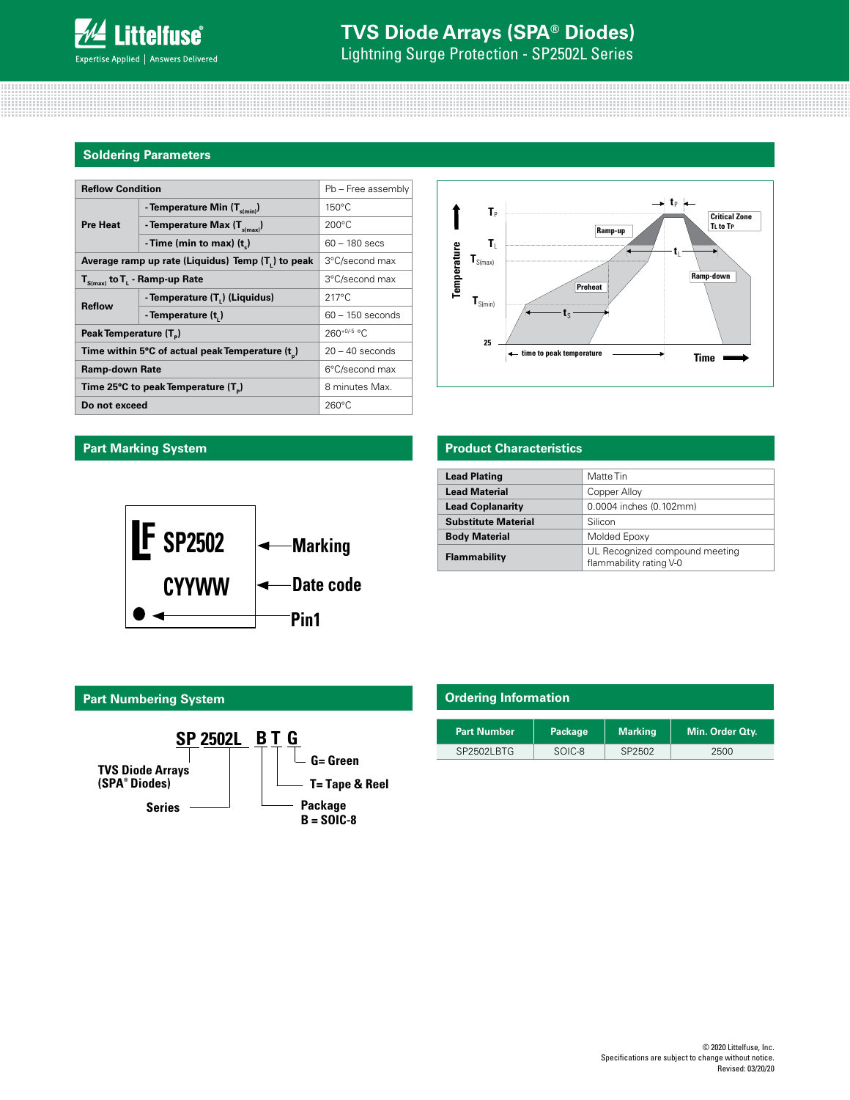

Lightning Surge Protection - SP2502L Series

## **Soldering Parameters**

| <b>Reflow Condition</b>                                        |                                                 | Pb - Free assembly |  |                             |                              |         |         |
|----------------------------------------------------------------|-------------------------------------------------|--------------------|--|-----------------------------|------------------------------|---------|---------|
|                                                                | - Temperature Min $(T_{s(min)})$                | $150^{\circ}$ C    |  |                             | $T_{\rm p}$                  | — t.    |         |
| <b>Pre Heat</b>                                                | - Temperature Max $(T_{\text{simax}})$          | $200^{\circ}$ C    |  |                             |                              | Ramp-up | C<br>Τı |
|                                                                | -Time (min to max) $(t_n)$                      | $60 - 180$ secs    |  |                             | T,                           |         |         |
| Average ramp up rate (Liquidus) Temp (T <sub>1</sub> ) to peak |                                                 | 3°C/second max     |  | Temperature<br>$T_{S(max)}$ |                              |         |         |
| $T_{S(max)}$ to $T_{L}$ - Ramp-up Rate                         |                                                 | 3°C/second max     |  |                             | <b>Preheat</b>               | Ramp-d  |         |
|                                                                | - Temperature (T.) (Liquidus)                   | $217^{\circ}$ C    |  |                             | $\mathbf{T}_{\text{S(min)}}$ |         |         |
| <b>Reflow</b>                                                  | - Temperature (t,)                              | $60 - 150$ seconds |  | Ιs                          |                              |         |         |
| Peak Temperature (T <sub>n</sub> )                             |                                                 | $260+0/5$ °C       |  | 25                          |                              |         |         |
| Time within 5°C of actual peak Temperature (t)                 |                                                 | $20 - 40$ seconds  |  |                             | ← time to peak temperature   | Time    |         |
| <b>Ramp-down Rate</b>                                          |                                                 | 6°C/second max     |  |                             |                              |         |         |
|                                                                | Time 25°C to peak Temperature (T <sub>n</sub> ) | 8 minutes Max.     |  |                             |                              |         |         |
| Do not exceed                                                  |                                                 | $260^{\circ}$ C    |  |                             |                              |         |         |



# **Part Marking System**



# **Product Characteristics**

| <b>Lead Plating</b>        | Matte Tin                                                 |
|----------------------------|-----------------------------------------------------------|
| <b>Lead Material</b>       | Copper Alloy                                              |
| <b>Lead Coplanarity</b>    | 0.0004 inches (0.102mm)                                   |
| <b>Substitute Material</b> | Silicon                                                   |
| <b>Body Material</b>       | Molded Epoxy                                              |
| Flammability               | UL Recognized compound meeting<br>flammability rating V-0 |

# **Part Numbering System**



| <b>Ordering Information</b> |         |                |                 |  |  |  |
|-----------------------------|---------|----------------|-----------------|--|--|--|
| <b>Part Number</b>          | Package | <b>Marking</b> | Min. Order Qty. |  |  |  |
| SP2502LBTG                  | SOIC-8  | SP2502         | 2500            |  |  |  |